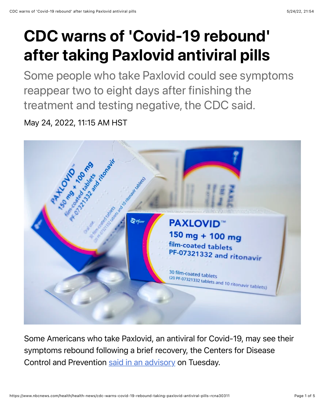## CDC warns of 'Covid-19 rebound' after taking Paxlovid antiviral pills

Some people who take Paxlovid could see symptoms reappear two to eight days after finishing the treatment and testing negative, the CDC said.

May 24, 2022, 11:15 AM HST



Some Americans who take Paxlovid, an antiviral for Covid-19, may see their symptoms rebound following a brief recovery, the Centers for Disease Control and Prevention [said in an advisory](https://emergency.cdc.gov/han/2022/han00467.asp) on Tuesday.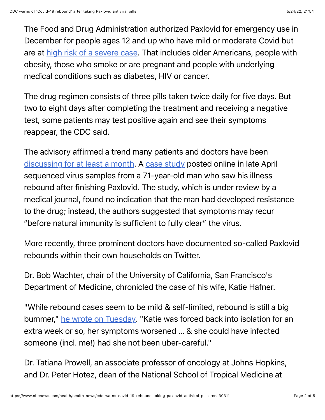The Food and Drug Administration authorized Paxlovid for emergency use in December for people ages 12 and up who have mild or moderate Covid but are at [high risk of a severe case](https://www.cdc.gov/coronavirus/2019-ncov/hcp/clinical-care/underlyingconditions.html). That includes older Americans, people with obesity, those who smoke or are pregnant and people with underlying medical conditions such as diabetes, HIV or cancer.

The drug regimen consists of three pills taken twice daily for five days. But two to eight days after completing the treatment and receiving a negative test, some patients may test positive again and see their symptoms reappear, the CDC said.

The advisory affirmed a trend many patients and doctors have been [discussing for at least a month.](https://www.nbcnews.com/health/health-news/covid-symptoms-may-return-taking-paxlovid-antiviral-pills-rare-cases-rcna25581) A [case study](https://assets.researchsquare.com/files/rs-1588371/v1/48342d2c-b3ea-4228-b600-168fca1fded7.pdf?c=1650977883) posted online in late April sequenced virus samples from a 71-year-old man who saw his illness rebound after finishing Paxlovid. The study, which is under review by a medical journal, found no indication that the man had developed resistance to the drug; instead, the authors suggested that symptoms may recur "before natural immunity is sufficient to fully clear" the virus.

More recently, three prominent doctors have documented so-called Paxlovid rebounds within their own households on Twitter.

Dr. Bob Wachter, chair of the University of California, San Francisco's Department of Medicine, chronicled the case of his wife, Katie Hafner.

"While rebound cases seem to be mild & self-limited, rebound is still a big bummer," [he wrote on Tuesday.](https://twitter.com/Bob_Wachter/status/1529182178369622016) "Katie was forced back into isolation for an extra week or so, her symptoms worsened … & she could have infected someone (incl. me!) had she not been uber-careful."

Dr. Tatiana Prowell, an associate professor of oncology at Johns Hopkins, and Dr. Peter Hotez, dean of the National School of Tropical Medicine at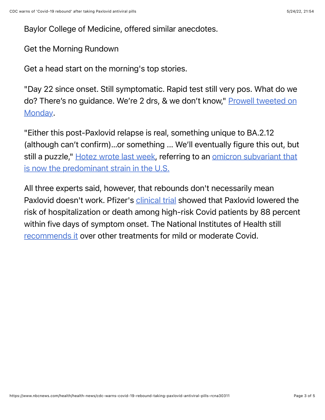Baylor College of Medicine, offered similar anecdotes.

Get the Morning Rundown

Get a head start on the morning's top stories.

"Day 22 since onset. Still symptomatic. Rapid test still very pos. What do we do? [There's no guidance. We're 2 drs, & we don't know," Prowell tweeted on](https://twitter.com/tmprowell/status/1526426438748061697) Monday.

"Either this post-Paxlovid relapse is real, something unique to BA.2.12 (although can't confirm)…or something ... We'll eventually figure this out, but [still a puzzle," H](https://www.nbcnews.com/health/health-news/new-omicron-variant-ba2-12-1-cdc-us-rcna24999)[otez wrote last wee](https://twitter.com/PeterHotez/status/1526745216061001729)[k, referring to an omicron subvariant that](https://www.nbcnews.com/health/health-news/new-omicron-variant-ba2-12-1-cdc-us-rcna24999) is now the predominant strain in the U.S.

All three experts said, however, that rebounds don't necessarily mean Paxlovid doesn't work. Pfizer's [clinical trial](https://www.pfizer.com/news/press-release/press-release-detail/pfizer-announces-additional-phase-23-study-results) showed that Paxlovid lowered the risk of hospitalization or death among high-risk Covid patients by 88 percent within five days of symptom onset. The National Institutes of Health still [recommends it](https://www.covid19treatmentguidelines.nih.gov/management/clinical-management/nonhospitalized-adults--therapeutic-management/) over other treatments for mild or moderate Covid.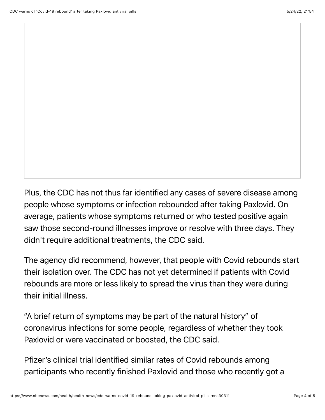Plus, the CDC has not thus far identified any cases of severe disease among people whose symptoms or infection rebounded after taking Paxlovid. On average, patients whose symptoms returned or who tested positive again saw those second-round illnesses improve or resolve with three days. They didn't require additional treatments, the CDC said.

The agency did recommend, however, that people with Covid rebounds start their isolation over. The CDC has not yet determined if patients with Covid rebounds are more or less likely to spread the virus than they were during their initial illness.

"A brief return of symptoms may be part of the natural history" of coronavirus infections for some people, regardless of whether they took Paxlovid or were vaccinated or boosted, the CDC said.

Pfizer's clinical trial identified similar rates of Covid rebounds among participants who recently finished Paxlovid and those who recently got a